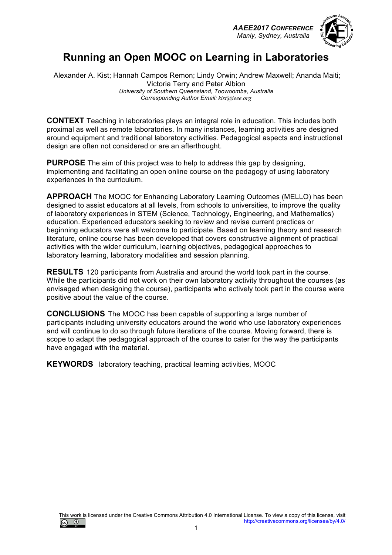*AAEE2017 CONFERENCE Manly, Sydney, Australia*



# **Running an Open MOOC on Learning in Laboratories**

Alexander A. Kist; Hannah Campos Remon; Lindy Orwin; Andrew Maxwell; Ananda Maiti; Victoria Terry and Peter Albion *University of Southern Queensland, Toowoomba, Australia Corresponding Author Email: kist@ieee.org*

**CONTEXT** Teaching in laboratories plays an integral role in education. This includes both proximal as well as remote laboratories. In many instances, learning activities are designed around equipment and traditional laboratory activities. Pedagogical aspects and instructional design are often not considered or are an afterthought.

**PURPOSE** The aim of this project was to help to address this gap by designing, implementing and facilitating an open online course on the pedagogy of using laboratory experiences in the curriculum.

**APPROACH** The MOOC for Enhancing Laboratory Learning Outcomes (MELLO) has been designed to assist educators at all levels, from schools to universities, to improve the quality of laboratory experiences in STEM (Science, Technology, Engineering, and Mathematics) education. Experienced educators seeking to review and revise current practices or beginning educators were all welcome to participate. Based on learning theory and research literature, online course has been developed that covers constructive alignment of practical activities with the wider curriculum, learning objectives, pedagogical approaches to laboratory learning, laboratory modalities and session planning.

**RESULTS** 120 participants from Australia and around the world took part in the course. While the participants did not work on their own laboratory activity throughout the courses (as envisaged when designing the course), participants who actively took part in the course were positive about the value of the course.

**CONCLUSIONS** The MOOC has been capable of supporting a large number of participants including university educators around the world who use laboratory experiences and will continue to do so through future iterations of the course. Moving forward, there is scope to adapt the pedagogical approach of the course to cater for the way the participants have engaged with the material.

**KEYWORDS** laboratory teaching, practical learning activities, MOOC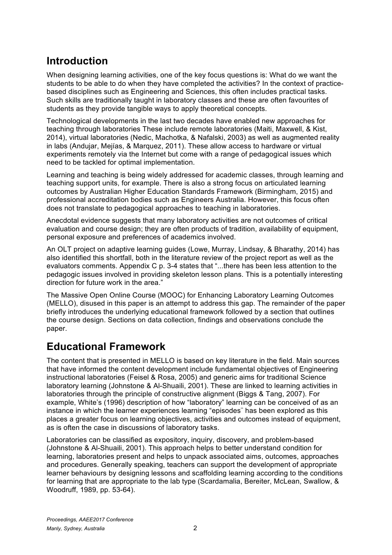# **Introduction**

When designing learning activities, one of the key focus questions is: What do we want the students to be able to do when they have completed the activities? In the context of practicebased disciplines such as Engineering and Sciences, this often includes practical tasks. Such skills are traditionally taught in laboratory classes and these are often favourites of students as they provide tangible ways to apply theoretical concepts.

Technological developments in the last two decades have enabled new approaches for teaching through laboratories These include remote laboratories (Maiti, Maxwell, & Kist, 2014), virtual laboratories (Nedic, Machotka, & Nafalski, 2003) as well as augmented reality in labs (Andujar, Mejías, & Marquez, 2011). These allow access to hardware or virtual experiments remotely via the Internet but come with a range of pedagogical issues which need to be tackled for optimal implementation.

Learning and teaching is being widely addressed for academic classes, through learning and teaching support units, for example. There is also a strong focus on articulated learning outcomes by Australian Higher Education Standards Framework (Birmingham, 2015) and professional accreditation bodies such as Engineers Australia. However, this focus often does not translate to pedagogical approaches to teaching in laboratories.

Anecdotal evidence suggests that many laboratory activities are not outcomes of critical evaluation and course design; they are often products of tradition, availability of equipment, personal exposure and preferences of academics involved.

An OLT project on adaptive learning guides (Lowe, Murray, Lindsay, & Bharathy, 2014) has also identified this shortfall, both in the literature review of the project report as well as the evaluators comments. Appendix C p. 3-4 states that "...there has been less attention to the pedagogic issues involved in providing skeleton lesson plans. This is a potentially interesting direction for future work in the area."

The Massive Open Online Course (MOOC) for Enhancing Laboratory Learning Outcomes (MELLO), disused in this paper is an attempt to address this gap. The remainder of the paper briefly introduces the underlying educational framework followed by a section that outlines the course design. Sections on data collection, findings and observations conclude the paper.

### **Educational Framework**

The content that is presented in MELLO is based on key literature in the field. Main sources that have informed the content development include fundamental objectives of Engineering instructional laboratories (Feisel & Rosa, 2005) and generic aims for traditional Science laboratory learning (Johnstone & Al-Shuaili, 2001). These are linked to learning activities in laboratories through the principle of constructive alignment (Biggs & Tang, 2007). For example, White's (1996) description of how "laboratory" learning can be conceived of as an instance in which the learner experiences learning "episodes¨ has been explored as this places a greater focus on learning objectives, activities and outcomes instead of equipment, as is often the case in discussions of laboratory tasks.

Laboratories can be classified as expository, inquiry, discovery, and problem-based (Johnstone & Al-Shuaili, 2001). This approach helps to better understand condition for learning, laboratories present and helps to unpack associated aims, outcomes, approaches and procedures. Generally speaking, teachers can support the development of appropriate learner behaviours by designing lessons and scaffolding learning according to the conditions for learning that are appropriate to the lab type (Scardamalia, Bereiter, McLean, Swallow, & Woodruff, 1989, pp. 53-64).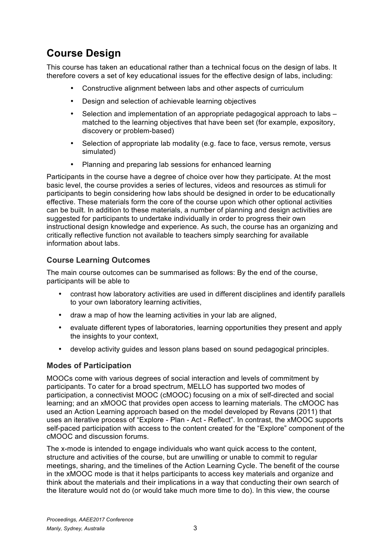# **Course Design**

This course has taken an educational rather than a technical focus on the design of labs. It therefore covers a set of key educational issues for the effective design of labs, including:

- Constructive alignment between labs and other aspects of curriculum
- Design and selection of achievable learning objectives
- Selection and implementation of an appropriate pedagogical approach to labs matched to the learning objectives that have been set (for example, expository, discovery or problem-based)
- Selection of appropriate lab modality (e.g. face to face, versus remote, versus simulated)
- Planning and preparing lab sessions for enhanced learning

Participants in the course have a degree of choice over how they participate. At the most basic level, the course provides a series of lectures, videos and resources as stimuli for participants to begin considering how labs should be designed in order to be educationally effective. These materials form the core of the course upon which other optional activities can be built. In addition to these materials, a number of planning and design activities are suggested for participants to undertake individually in order to progress their own instructional design knowledge and experience. As such, the course has an organizing and critically reflective function not available to teachers simply searching for available information about labs.

#### **Course Learning Outcomes**

The main course outcomes can be summarised as follows: By the end of the course, participants will be able to

- contrast how laboratory activities are used in different disciplines and identify parallels to your own laboratory learning activities,
- draw a map of how the learning activities in your lab are aligned,
- evaluate different types of laboratories, learning opportunities they present and apply the insights to your context,
- develop activity guides and lesson plans based on sound pedagogical principles.

#### **Modes of Participation**

MOOCs come with various degrees of social interaction and levels of commitment by participants. To cater for a broad spectrum, MELLO has supported two modes of participation, a connectivist MOOC (cMOOC) focusing on a mix of self-directed and social learning; and an xMOOC that provides open access to learning materials. The cMOOC has used an Action Learning approach based on the model developed by Revans (2011) that uses an iterative process of "Explore - Plan - Act - Reflect". In contrast, the xMOOC supports self-paced participation with access to the content created for the "Explore" component of the cMOOC and discussion forums.

The x-mode is intended to engage individuals who want quick access to the content, structure and activities of the course, but are unwilling or unable to commit to regular meetings, sharing, and the timelines of the Action Learning Cycle. The benefit of the course in the xMOOC mode is that it helps participants to access key materials and organize and think about the materials and their implications in a way that conducting their own search of the literature would not do (or would take much more time to do). In this view, the course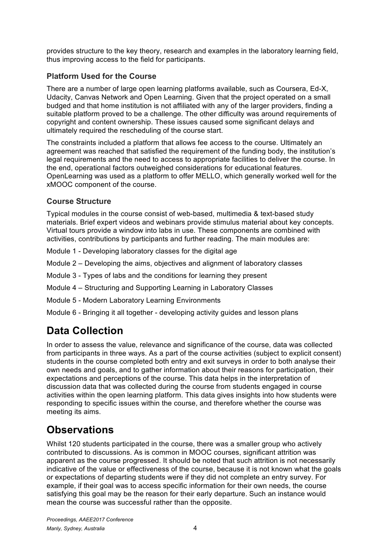provides structure to the key theory, research and examples in the laboratory learning field, thus improving access to the field for participants.

### **Platform Used for the Course**

There are a number of large open learning platforms available, such as Coursera, Ed-X, Udacity, Canvas Network and Open Learning. Given that the project operated on a small budged and that home institution is not affiliated with any of the larger providers, finding a suitable platform proved to be a challenge. The other difficulty was around requirements of copyright and content ownership. These issues caused some significant delays and ultimately required the rescheduling of the course start.

The constraints included a platform that allows fee access to the course. Ultimately an agreement was reached that satisfied the requirement of the funding body, the institution's legal requirements and the need to access to appropriate facilities to deliver the course. In the end, operational factors outweighed considerations for educational features. OpenLearning was used as a platform to offer MELLO, which generally worked well for the xMOOC component of the course.

#### **Course Structure**

Typical modules in the course consist of web-based, multimedia & text-based study materials. Brief expert videos and webinars provide stimulus material about key concepts. Virtual tours provide a window into labs in use. These components are combined with activities, contributions by participants and further reading. The main modules are:

- Module 1 Developing laboratory classes for the digital age
- Module 2 Developing the aims, objectives and alignment of laboratory classes
- Module 3 Types of labs and the conditions for learning they present
- Module 4 Structuring and Supporting Learning in Laboratory Classes
- Module 5 Modern Laboratory Learning Environments
- Module 6 Bringing it all together developing activity guides and lesson plans

### **Data Collection**

In order to assess the value, relevance and significance of the course, data was collected from participants in three ways. As a part of the course activities (subject to explicit consent) students in the course completed both entry and exit surveys in order to both analyse their own needs and goals, and to gather information about their reasons for participation, their expectations and perceptions of the course. This data helps in the interpretation of discussion data that was collected during the course from students engaged in course activities within the open learning platform. This data gives insights into how students were responding to specific issues within the course, and therefore whether the course was meeting its aims.

### **Observations**

Whilst 120 students participated in the course, there was a smaller group who actively contributed to discussions. As is common in MOOC courses, significant attrition was apparent as the course progressed. It should be noted that such attrition is not necessarily indicative of the value or effectiveness of the course, because it is not known what the goals or expectations of departing students were if they did not complete an entry survey. For example, if their goal was to access specific information for their own needs, the course satisfying this goal may be the reason for their early departure. Such an instance would mean the course was successful rather than the opposite.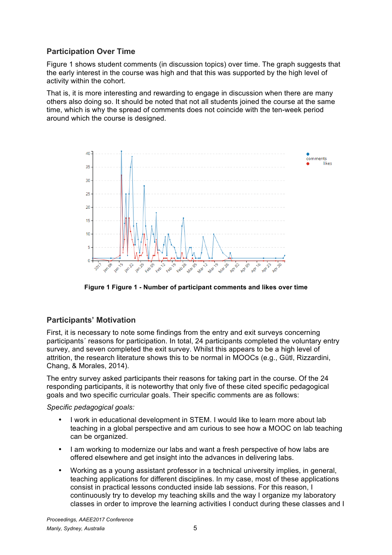#### **Participation Over Time**

Figure 1 shows student comments (in discussion topics) over time. The graph suggests that the early interest in the course was high and that this was supported by the high level of activity within the cohort.

That is, it is more interesting and rewarding to engage in discussion when there are many others also doing so. It should be noted that not all students joined the course at the same time, which is why the spread of comments does not coincide with the ten-week period around which the course is designed.



**Figure 1 Figure 1 - Number of participant comments and likes over time**

#### **Participants' Motivation**

First, it is necessary to note some findings from the entry and exit surveys concerning participants´ reasons for participation. In total, 24 participants completed the voluntary entry survey, and seven completed the exit survey. Whilst this appears to be a high level of attrition, the research literature shows this to be normal in MOOCs (e.g., Gütl, Rizzardini, Chang, & Morales, 2014).

The entry survey asked participants their reasons for taking part in the course. Of the 24 responding participants, it is noteworthy that only five of these cited specific pedagogical goals and two specific curricular goals. Their specific comments are as follows:

*Specific pedagogical goals:*

- I work in educational development in STEM. I would like to learn more about lab teaching in a global perspective and am curious to see how a MOOC on lab teaching can be organized.
- I am working to modernize our labs and want a fresh perspective of how labs are offered elsewhere and get insight into the advances in delivering labs.
- Working as a young assistant professor in a technical university implies, in general, teaching applications for different disciplines. In my case, most of these applications consist in practical lessons conducted inside lab sessions. For this reason, I continuously try to develop my teaching skills and the way I organize my laboratory classes in order to improve the learning activities I conduct during these classes and I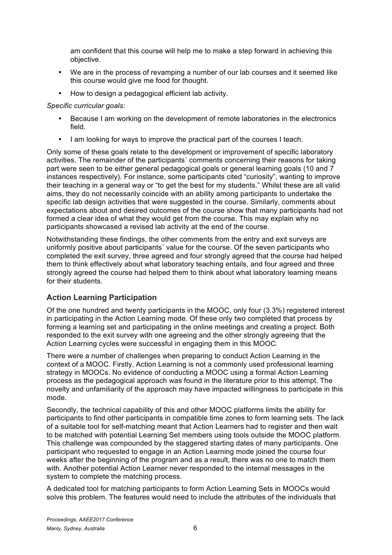am confident that this course will help me to make a step forward in achieving this objective.

- We are in the process of revamping a number of our lab courses and it seemed like this course would give me food for thought.
- How to design a pedagogical efficient lab activity.

#### *Specific curricular goals:*

- Because I am working on the development of remote laboratories in the electronics field.
- I am looking for ways to improve the practical part of the courses I teach.

Only some of these goals relate to the development or improvement of specific laboratory activities. The remainder of the participants´ comments concerning their reasons for taking part were seen to be either general pedagogical goals or general learning goals (10 and 7 instances respectively). For instance, some participants cited "curiosity", wanting to improve their teaching in a general way or "to get the best for my students." Whilst these are all valid aims, they do not necessarily coincide with an ability among participants to undertake the specific lab design activities that were suggested in the course. Similarly, comments about expectations about and desired outcomes of the course show that many participants had not formed a clear idea of what they would get from the course. This may explain why no participants showcased a revised lab activity at the end of the course.

Notwithstanding these findings, the other comments from the entry and exit surveys are uniformly positive about participants´ value for the course. Of the seven participants who completed the exit survey, three agreed and four strongly agreed that the course had helped them to think effectively about what laboratory teaching entails, and four agreed and three strongly agreed the course had helped them to think about what laboratory learning means for their students.

### **Action Learning Participation**

Of the one hundred and twenty participants in the MOOC, only four (3.3%) registered interest in participating in the Action Learning mode. Of these only two completed that process by forming a learning set and participating in the online meetings and creating a project. Both responded to the exit survey with one agreeing and the other strongly agreeing that the Action Learning cycles were successful in engaging them in this MOOC.

There were a number of challenges when preparing to conduct Action Learning in the context of a MOOC. Firstly, Action Learning is not a commonly used professional learning strategy in MOOCs. No evidence of conducting a MOOC using a formal Action Learning process as the pedagogical approach was found in the literature prior to this attempt. The novelty and unfamiliarity of the approach may have impacted willingness to participate in this mode.

Secondly, the technical capability of this and other MOOC platforms limits the ability for participants to find other participants in compatible time zones to form learning sets. The lack of a suitable tool for self-matching meant that Action Learners had to register and then wait to be matched with potential Learning Set members using tools outside the MOOC platform. This challenge was compounded by the staggered starting dates of many participants. One participant who requested to engage in an Action Learning mode joined the course four weeks after the beginning of the program and as a result, there was no one to match them with. Another potential Action Learner never responded to the internal messages in the system to complete the matching process.

A dedicated tool for matching participants to form Action Learning Sets in MOOCs would solve this problem. The features would need to include the attributes of the individuals that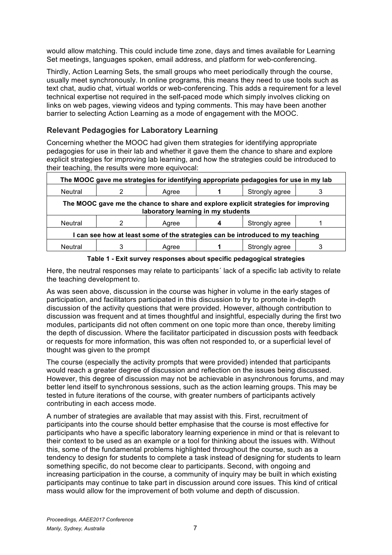would allow matching. This could include time zone, days and times available for Learning Set meetings, languages spoken, email address, and platform for web-conferencing.

Thirdly, Action Learning Sets, the small groups who meet periodically through the course, usually meet synchronously. In online programs, this means they need to use tools such as text chat, audio chat, virtual worlds or web-conferencing. This adds a requirement for a level technical expertise not required in the self-paced mode which simply involves clicking on links on web pages, viewing videos and typing comments. This may have been another barrier to selecting Action Learning as a mode of engagement with the MOOC.

#### **Relevant Pedagogies for Laboratory Learning**

Concerning whether the MOOC had given them strategies for identifying appropriate pedagogies for use in their lab and whether it gave them the chance to share and explore explicit strategies for improving lab learning, and how the strategies could be introduced to their teaching, the results were more equivocal:

| The MOOC gave me strategies for identifying appropriate pedagogies for use in my lab                                     |   |       |  |                |  |
|--------------------------------------------------------------------------------------------------------------------------|---|-------|--|----------------|--|
| Neutral                                                                                                                  |   | Agree |  | Strongly agree |  |
| The MOOC gave me the chance to share and explore explicit strategies for improving<br>laboratory learning in my students |   |       |  |                |  |
| <b>Neutral</b>                                                                                                           |   | Agree |  | Strongly agree |  |
| I can see how at least some of the strategies can be introduced to my teaching                                           |   |       |  |                |  |
| <b>Neutral</b>                                                                                                           | 3 | Agree |  | Strongly agree |  |

**Table 1 - Exit survey responses about specific pedagogical strategies**

Here, the neutral responses may relate to participants´ lack of a specific lab activity to relate the teaching development to.

As was seen above, discussion in the course was higher in volume in the early stages of participation, and facilitators participated in this discussion to try to promote in-depth discussion of the activity questions that were provided. However, although contribution to discussion was frequent and at times thoughtful and insightful, especially during the first two modules, participants did not often comment on one topic more than once, thereby limiting the depth of discussion. Where the facilitator participated in discussion posts with feedback or requests for more information, this was often not responded to, or a superficial level of thought was given to the prompt

The course (especially the activity prompts that were provided) intended that participants would reach a greater degree of discussion and reflection on the issues being discussed. However, this degree of discussion may not be achievable in asynchronous forums, and may better lend itself to synchronous sessions, such as the action learning groups. This may be tested in future iterations of the course, with greater numbers of participants actively contributing in each access mode.

A number of strategies are available that may assist with this. First, recruitment of participants into the course should better emphasise that the course is most effective for participants who have a specific laboratory learning experience in mind or that is relevant to their context to be used as an example or a tool for thinking about the issues with. Without this, some of the fundamental problems highlighted throughout the course, such as a tendency to design for students to complete a task instead of designing for students to learn something specific, do not become clear to participants. Second, with ongoing and increasing participation in the course, a community of inquiry may be built in which existing participants may continue to take part in discussion around core issues. This kind of critical mass would allow for the improvement of both volume and depth of discussion.